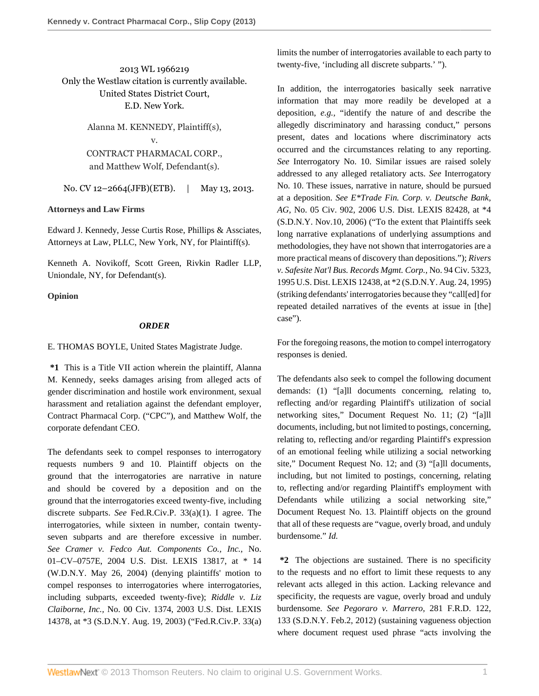2013 WL 1966219 Only the Westlaw citation is currently available. United States District Court, E.D. New York.

> Alanna M. KENNEDY, Plaintiff(s), v. CONTRACT PHARMACAL CORP., and Matthew Wolf, Defendant(s).

No. CV 12-2664(JFB)(ETB). | May 13, 2013.

## **Attorneys and Law Firms**

[Edward J. Kennedy,](http://www.westlaw.com/Link/Document/FullText?findType=h&pubNum=176284&cite=0283781601&originatingDoc=I2855f740bcd311e2a160cacff148223f&refType=RQ&originationContext=document&vr=3.0&rs=cblt1.0&transitionType=DocumentItem&contextData=(sc.History*oc.Search)) [Jesse Curtis Rose](http://www.westlaw.com/Link/Document/FullText?findType=h&pubNum=176284&cite=0411118001&originatingDoc=I2855f740bcd311e2a160cacff148223f&refType=RQ&originationContext=document&vr=3.0&rs=cblt1.0&transitionType=DocumentItem&contextData=(sc.History*oc.Search)), Phillips & Assciates, Attorneys at Law, PLLC, New York, NY, for Plaintiff(s).

[Kenneth A. Novikoff](http://www.westlaw.com/Link/Document/FullText?findType=h&pubNum=176284&cite=0181958101&originatingDoc=I2855f740bcd311e2a160cacff148223f&refType=RQ&originationContext=document&vr=3.0&rs=cblt1.0&transitionType=DocumentItem&contextData=(sc.History*oc.Search)), [Scott Green,](http://www.westlaw.com/Link/Document/FullText?findType=h&pubNum=176284&cite=0418294301&originatingDoc=I2855f740bcd311e2a160cacff148223f&refType=RQ&originationContext=document&vr=3.0&rs=cblt1.0&transitionType=DocumentItem&contextData=(sc.History*oc.Search)) Rivkin Radler LLP, Uniondale, NY, for Defendant(s).

## **Opinion**

## *ORDER*

[E. THOMAS BOYLE](http://www.westlaw.com/Link/Document/FullText?findType=h&pubNum=176284&cite=0191613801&originatingDoc=I2855f740bcd311e2a160cacff148223f&refType=RQ&originationContext=document&vr=3.0&rs=cblt1.0&transitionType=DocumentItem&contextData=(sc.History*oc.Search)), United States Magistrate Judge.

**\*1** This is a Title VII action wherein the plaintiff, Alanna M. Kennedy, seeks damages arising from alleged acts of gender discrimination and hostile work environment, sexual harassment and retaliation against the defendant employer, Contract Pharmacal Corp. ("CPC"), and Matthew Wolf, the corporate defendant CEO.

The defendants seek to compel responses to interrogatory requests numbers 9 and 10. Plaintiff objects on the ground that the interrogatories are narrative in nature and should be covered by a deposition and on the ground that the interrogatories exceed twenty-five, including discrete subparts. *See* [Fed.R.Civ.P. 33\(a\)\(1\).](http://www.westlaw.com/Link/Document/FullText?findType=L&pubNum=1004365&cite=USFRCPR33&originatingDoc=I2855f740bcd311e2a160cacff148223f&refType=LQ&originationContext=document&vr=3.0&rs=cblt1.0&transitionType=DocumentItem&contextData=(sc.History*oc.Search)) I agree. The interrogatories, while sixteen in number, contain twentyseven subparts and are therefore excessive in number. *See Cramer v. Fedco Aut. Components Co., Inc.,* No. 01–CV–0757E, 2004 U.S. Dist. LEXIS 13817, at \* 14 (W.D.N.Y. May 26, 2004) (denying plaintiffs' motion to compel responses to interrogatories where interrogatories, including subparts, exceeded twenty-five); *Riddle v. Liz Claiborne, Inc.,* No. 00 Civ. 1374, 2003 U.S. Dist. LEXIS 14378, at \*3 (S.D.N.Y. Aug. 19, 2003) ("[Fed.R.Civ.P. 33\(a\)](http://www.westlaw.com/Link/Document/FullText?findType=L&pubNum=1004365&cite=USFRCPR33&originatingDoc=I2855f740bcd311e2a160cacff148223f&refType=LQ&originationContext=document&vr=3.0&rs=cblt1.0&transitionType=DocumentItem&contextData=(sc.History*oc.Search)) limits the number of interrogatories available to each party to twenty-five, 'including all discrete subparts.' ").

In addition, the interrogatories basically seek narrative information that may more readily be developed at a deposition, *e.g.,* "identify the nature of and describe the allegedly discriminatory and harassing conduct," persons present, dates and locations where discriminatory acts occurred and the circumstances relating to any reporting. *See* Interrogatory No. 10. Similar issues are raised solely addressed to any alleged retaliatory acts. *See* Interrogatory No. 10. These issues, narrative in nature, should be pursued at a deposition. *See E\*Trade Fin. Corp. v. Deutsche Bank, AG,* No. 05 Civ. 902, 2006 U.S. Dist. LEXIS 82428, at \*4 (S.D.N.Y. Nov.10, 2006) ("To the extent that Plaintiffs seek long narrative explanations of underlying assumptions and methodologies, they have not shown that interrogatories are a more practical means of discovery than depositions."); *Rivers v. Safesite Nat'l Bus. Records Mgmt. Corp.,* No. 94 Civ. 5323, 1995 U.S. Dist. LEXIS 12438, at \*2 (S.D.N.Y. Aug. 24, 1995) (striking defendants' interrogatories because they "call[ed] for repeated detailed narratives of the events at issue in [the] case").

For the foregoing reasons, the motion to compel interrogatory responses is denied.

The defendants also seek to compel the following document demands: (1) "[a]ll documents concerning, relating to, reflecting and/or regarding Plaintiff's utilization of social networking sites," Document Request No. 11; (2) "[a]ll documents, including, but not limited to postings, concerning, relating to, reflecting and/or regarding Plaintiff's expression of an emotional feeling while utilizing a social networking site," Document Request No. 12; and (3) "[a]ll documents, including, but not limited to postings, concerning, relating to, reflecting and/or regarding Plaintiff's employment with Defendants while utilizing a social networking site," Document Request No. 13. Plaintiff objects on the ground that all of these requests are "vague, overly broad, and unduly burdensome." *Id.*

**\*2** The objections are sustained. There is no specificity to the requests and no effort to limit these requests to any relevant acts alleged in this action. Lacking relevance and specificity, the requests are vague, overly broad and unduly burdensome. *See [Pegoraro v. Marrero,](http://www.westlaw.com/Link/Document/FullText?findType=Y&serNum=2027156721&pubNum=344&originationContext=document&vr=3.0&rs=cblt1.0&transitionType=DocumentItem&contextData=(sc.History*oc.Search)#co_pp_sp_344_133)* 281 F.R.D. 122, [133 \(S.D.N.Y. Feb.2, 2012\)](http://www.westlaw.com/Link/Document/FullText?findType=Y&serNum=2027156721&pubNum=344&originationContext=document&vr=3.0&rs=cblt1.0&transitionType=DocumentItem&contextData=(sc.History*oc.Search)#co_pp_sp_344_133) (sustaining vagueness objection where document request used phrase "acts involving the